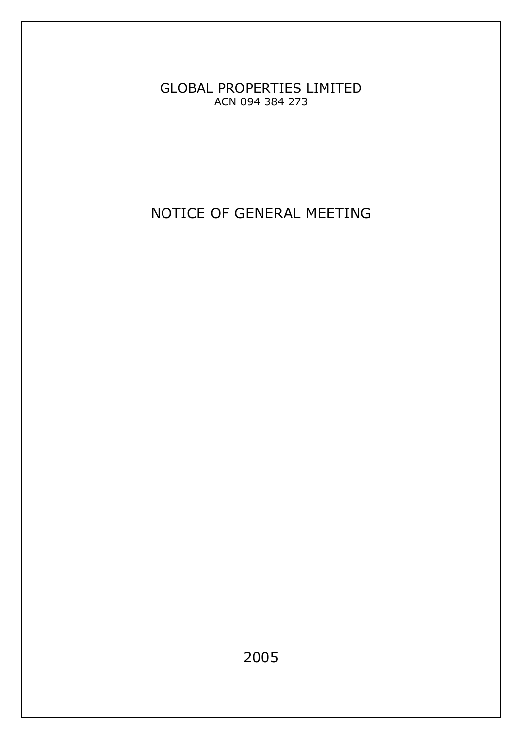GLOBAL PROPERTIES LIMITED ACN 094 384 273

NOTICE OF GENERAL MEETING

2005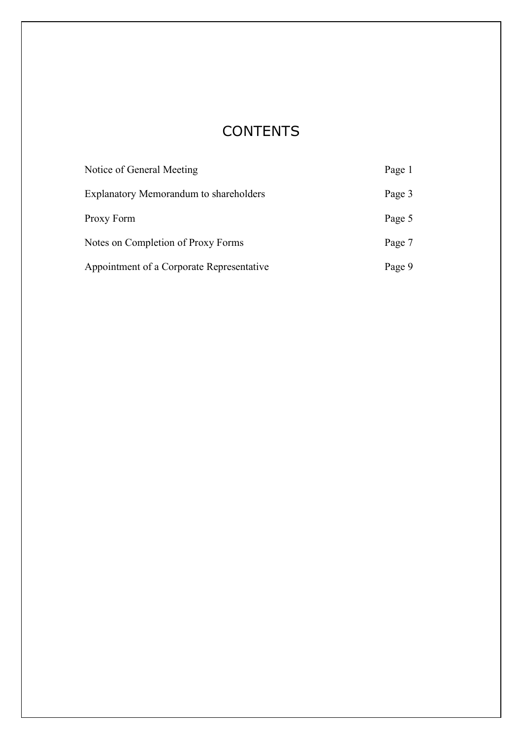## **CONTENTS**

| Notice of General Meeting                     | Page 1 |
|-----------------------------------------------|--------|
| <b>Explanatory Memorandum to shareholders</b> | Page 3 |
| Proxy Form                                    | Page 5 |
| Notes on Completion of Proxy Forms            | Page 7 |
| Appointment of a Corporate Representative     | Page 9 |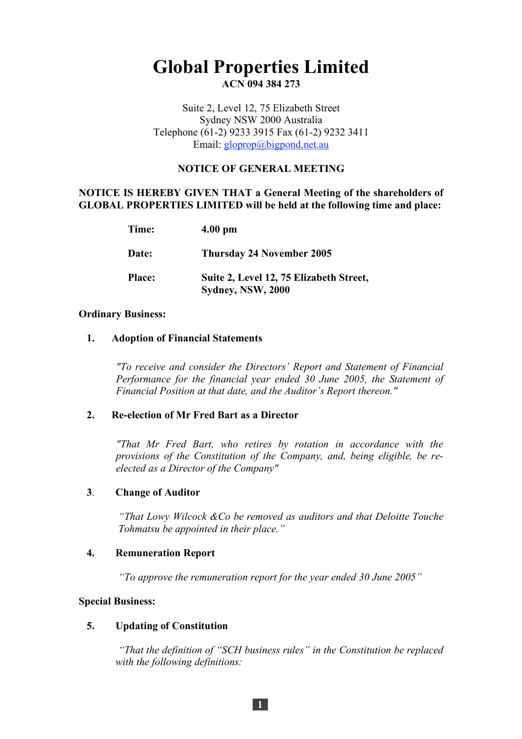# **Global Properties Limited**

#### **ACN 094 384 273**

Suite 2, Level 12, 75 Elizabeth Street Sydney NSW 2000 Australia Telephone (61-2) 9233 3915 Fax (61-2) 9232 3411 Email: gloprop@bigpond.net.au

#### **NOTICE OF GENERAL MEETING**

#### **NOTICE IS HEREBY GIVEN THAT a General Meeting of the shareholders of GLOBAL PROPERTIES LIMITED will be held at the following time and place:**

| Time:         | $4.00 \text{ pm}$                                                   |
|---------------|---------------------------------------------------------------------|
| Date:         | <b>Thursday 24 November 2005</b>                                    |
| <b>Place:</b> | Suite 2, Level 12, 75 Elizabeth Street,<br><b>Sydney, NSW, 2000</b> |

#### **Ordinary Business:**

#### **1. Adoption of Financial Statements**

*"To receive and consider the Directors' Report and Statement of Financial Performance for the financial year ended 30 June 2005, the Statement of Financial Position at that date, and the Auditor's Report thereon."*

#### **2. Re-election of Mr Fred Bart as a Director**

*"That Mr Fred Bart, who retires by rotation in accordance with the provisions of the Constitution of the Company, and, being eligible, be reelected as a Director of the Company"*

#### **3**. **Change of Auditor**

*"That Lowy Wilcock &Co be removed as auditors and that Deloitte Touche Tohmatsu be appointed in their place."*

#### **4. Remuneration Report**

*"To approve the remuneration report for the year ended 30 June 2005"*

#### **Special Business:**

#### **5. Updating of Constitution**

*"That the definition of "SCH business rules" in the Constitution be replaced with the following definitions:*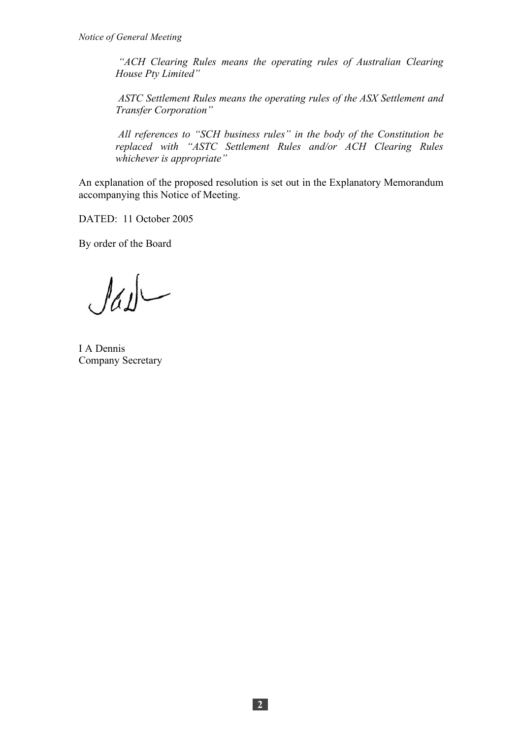*"ACH Clearing Rules means the operating rules of Australian Clearing House Pty Limited"*

*ASTC Settlement Rules means the operating rules of the ASX Settlement and Transfer Corporation"*

*All references to "SCH business rules" in the body of the Constitution be replaced with "ASTC Settlement Rules and/or ACH Clearing Rules whichever is appropriate"*

An explanation of the proposed resolution is set out in the Explanatory Memorandum accompanying this Notice of Meeting.

DATED: 11 October 2005

By order of the Board

 $J$ as

I A Dennis Company Secretary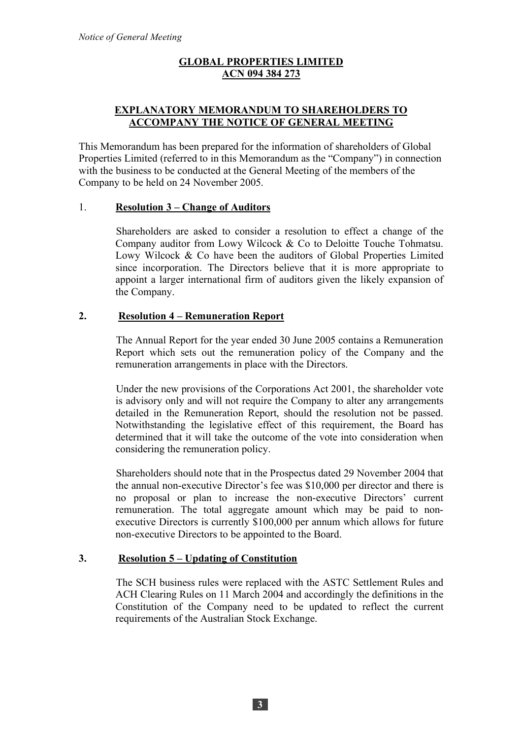#### **GLOBAL PROPERTIES LIMITED ACN 094 384 273**

#### **EXPLANATORY MEMORANDUM TO SHAREHOLDERS TO ACCOMPANY THE NOTICE OF GENERAL MEETING**

This Memorandum has been prepared for the information of shareholders of Global Properties Limited (referred to in this Memorandum as the "Company") in connection with the business to be conducted at the General Meeting of the members of the Company to be held on 24 November 2005.

#### 1. **Resolution 3 – Change of Auditors**

Shareholders are asked to consider a resolution to effect a change of the Company auditor from Lowy Wilcock & Co to Deloitte Touche Tohmatsu. Lowy Wilcock & Co have been the auditors of Global Properties Limited since incorporation. The Directors believe that it is more appropriate to appoint a larger international firm of auditors given the likely expansion of the Company.

#### **2. Resolution 4 – Remuneration Report**

The Annual Report for the year ended 30 June 2005 contains a Remuneration Report which sets out the remuneration policy of the Company and the remuneration arrangements in place with the Directors.

Under the new provisions of the Corporations Act 2001, the shareholder vote is advisory only and will not require the Company to alter any arrangements detailed in the Remuneration Report, should the resolution not be passed. Notwithstanding the legislative effect of this requirement, the Board has determined that it will take the outcome of the vote into consideration when considering the remuneration policy.

Shareholders should note that in the Prospectus dated 29 November 2004 that the annual non-executive Director's fee was \$10,000 per director and there is no proposal or plan to increase the non-executive Directors' current remuneration. The total aggregate amount which may be paid to nonexecutive Directors is currently \$100,000 per annum which allows for future non-executive Directors to be appointed to the Board.

#### **3. Resolution 5 – Updating of Constitution**

The SCH business rules were replaced with the ASTC Settlement Rules and ACH Clearing Rules on 11 March 2004 and accordingly the definitions in the Constitution of the Company need to be updated to reflect the current requirements of the Australian Stock Exchange.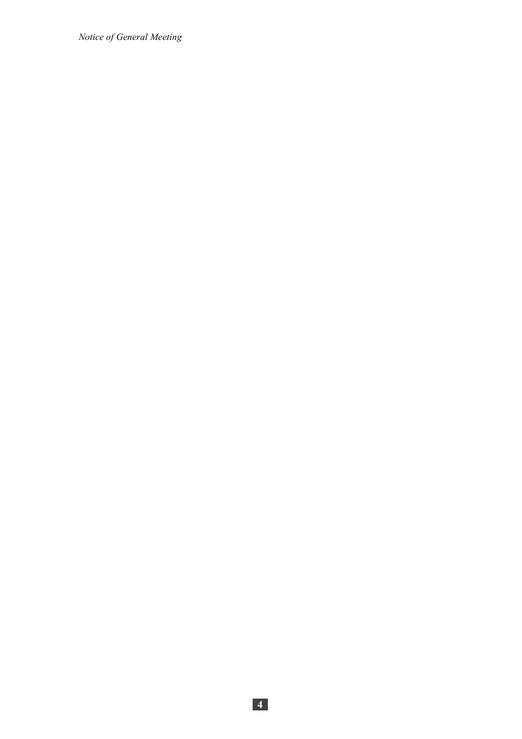*Notice of General Meeting*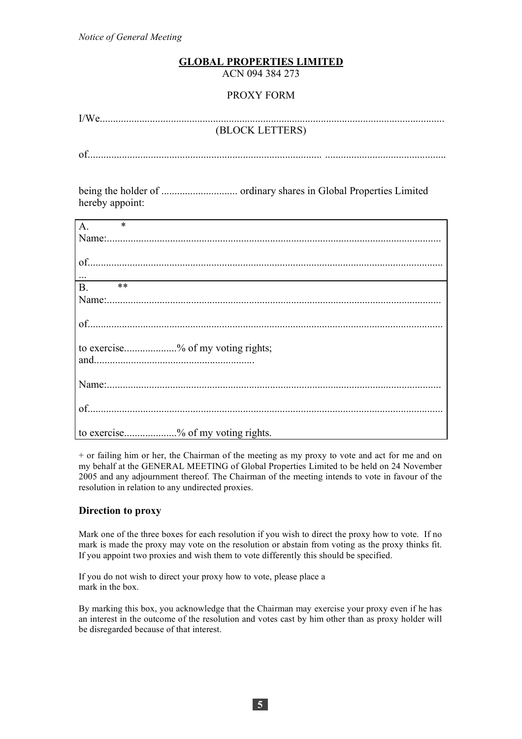#### **GLOBAL PROPERTIES LIMITED** ACN 094 384 273

#### PROXY FORM

| I/W                   |
|-----------------------|
| <b>BLOCK LETTERS)</b> |

of......................................................................................... ..............................................

being the holder of ............................. ordinary shares in Global Properties Limited hereby appoint:

| $\ast$<br>$A$ .                                                    |
|--------------------------------------------------------------------|
|                                                                    |
|                                                                    |
| of.                                                                |
|                                                                    |
| $\begin{array}{c c}\n\cdots \\ \hline\n\mathbf{R} & * \end{array}$ |
|                                                                    |
|                                                                    |
|                                                                    |
|                                                                    |
|                                                                    |
| to exercise% of my voting rights;                                  |
|                                                                    |
|                                                                    |
|                                                                    |
|                                                                    |
|                                                                    |
|                                                                    |
| to exercise% of my voting rights.                                  |
|                                                                    |

+ or failing him or her, the Chairman of the meeting as my proxy to vote and act for me and on my behalf at the GENERAL MEETING of Global Properties Limited to be held on 24 November 2005 and any adjournment thereof. The Chairman of the meeting intends to vote in favour of the resolution in relation to any undirected proxies.

#### **Direction to proxy**

Mark one of the three boxes for each resolution if you wish to direct the proxy how to vote. If no mark is made the proxy may vote on the resolution or abstain from voting as the proxy thinks fit. If you appoint two proxies and wish them to vote differently this should be specified.

If you do not wish to direct your proxy how to vote, please place a mark in the box.

By marking this box, you acknowledge that the Chairman may exercise your proxy even if he has an interest in the outcome of the resolution and votes cast by him other than as proxy holder will be disregarded because of that interest.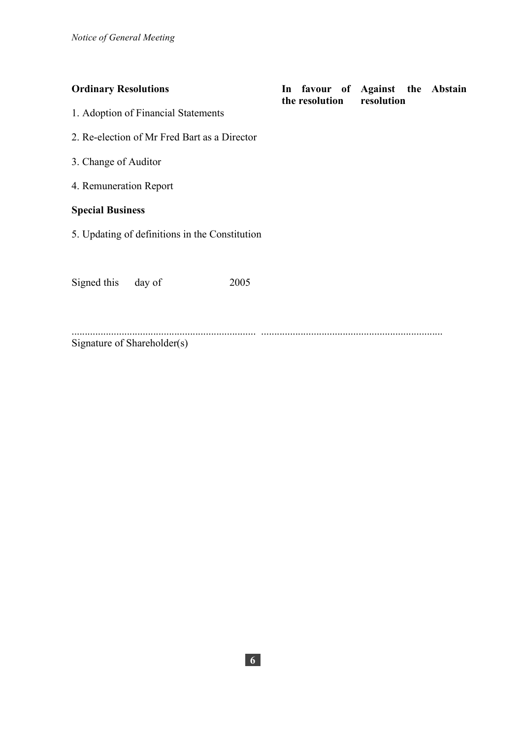| <b>Ordinary Resolutions</b><br>1. Adoption of Financial Statements |      | In favour of Against the Abstain<br>the resolution |  | resolution |  |  |
|--------------------------------------------------------------------|------|----------------------------------------------------|--|------------|--|--|
|                                                                    |      |                                                    |  |            |  |  |
| 2. Re-election of Mr Fred Bart as a Director                       |      |                                                    |  |            |  |  |
| 3. Change of Auditor                                               |      |                                                    |  |            |  |  |
| 4. Remuneration Report                                             |      |                                                    |  |            |  |  |
| <b>Special Business</b>                                            |      |                                                    |  |            |  |  |
| 5. Updating of definitions in the Constitution                     |      |                                                    |  |            |  |  |
|                                                                    |      |                                                    |  |            |  |  |
| Signed this<br>day of                                              | 2005 |                                                    |  |            |  |  |
|                                                                    |      |                                                    |  |            |  |  |
|                                                                    |      |                                                    |  |            |  |  |

Signature of Shareholder(s)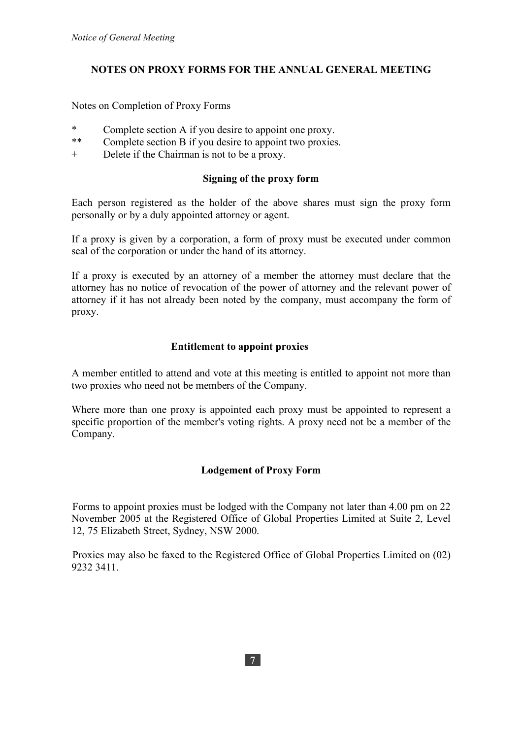#### **NOTES ON PROXY FORMS FOR THE ANNUAL GENERAL MEETING**

Notes on Completion of Proxy Forms

- \* Complete section A if you desire to appoint one proxy.<br>\*\* Complete section B if you desire to appoint two provise
- Complete section B if you desire to appoint two proxies.
- + Delete if the Chairman is not to be a proxy.

#### **Signing of the proxy form**

Each person registered as the holder of the above shares must sign the proxy form personally or by a duly appointed attorney or agent.

If a proxy is given by a corporation, a form of proxy must be executed under common seal of the corporation or under the hand of its attorney.

If a proxy is executed by an attorney of a member the attorney must declare that the attorney has no notice of revocation of the power of attorney and the relevant power of attorney if it has not already been noted by the company, must accompany the form of proxy.

#### **Entitlement to appoint proxies**

A member entitled to attend and vote at this meeting is entitled to appoint not more than two proxies who need not be members of the Company.

Where more than one proxy is appointed each proxy must be appointed to represent a specific proportion of the member's voting rights. A proxy need not be a member of the Company.

#### **Lodgement of Proxy Form**

Forms to appoint proxies must be lodged with the Company not later than 4.00 pm on 22 November 2005 at the Registered Office of Global Properties Limited at Suite 2, Level 12, 75 Elizabeth Street, Sydney, NSW 2000.

Proxies may also be faxed to the Registered Office of Global Properties Limited on (02) 9232 3411.

**7**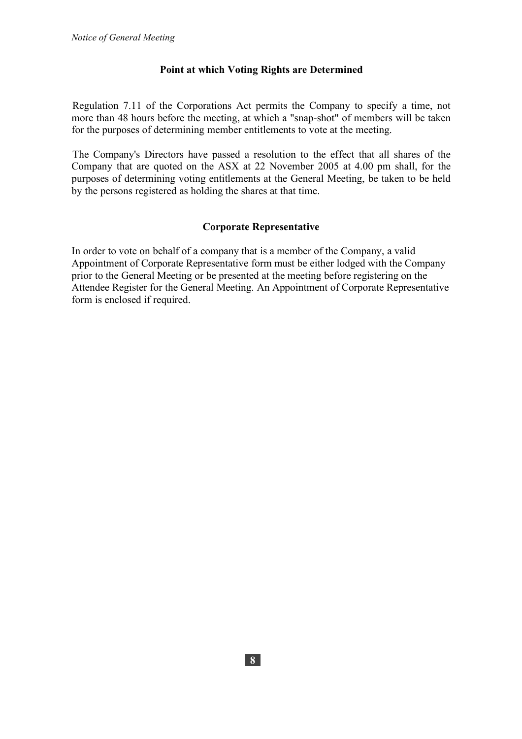#### **Point at which Voting Rights are Determined**

Regulation 7.11 of the Corporations Act permits the Company to specify a time, not more than 48 hours before the meeting, at which a "snap-shot" of members will be taken for the purposes of determining member entitlements to vote at the meeting.

The Company's Directors have passed a resolution to the effect that all shares of the Company that are quoted on the ASX at 22 November 2005 at 4.00 pm shall, for the purposes of determining voting entitlements at the General Meeting, be taken to be held by the persons registered as holding the shares at that time.

#### **Corporate Representative**

In order to vote on behalf of a company that is a member of the Company, a valid Appointment of Corporate Representative form must be either lodged with the Company prior to the General Meeting or be presented at the meeting before registering on the Attendee Register for the General Meeting. An Appointment of Corporate Representative form is enclosed if required.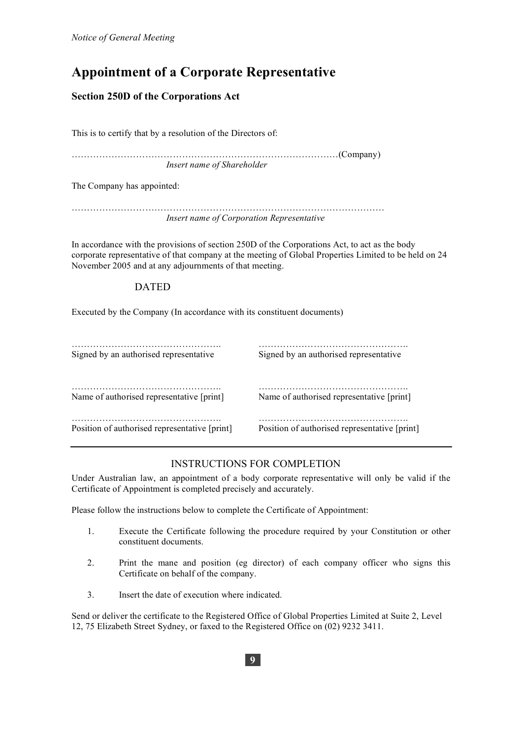### **Appointment of a Corporate Representative**

#### **Section 250D of the Corporations Act**

This is to certify that by a resolution of the Directors of:

……………………………………………………………………………(Company) *Insert name of Shareholder*

The Company has appointed:

………………………………………………………………………………………… *Insert name of Corporation Representative*

In accordance with the provisions of section 250D of the Corporations Act, to act as the body corporate representative of that company at the meeting of Global Properties Limited to be held on 24 November 2005 and at any adjournments of that meeting.

#### **DATED**

Executed by the Company (In accordance with its constituent documents)

| Signed by an authorised representative        | Signed by an authorised representative        |
|-----------------------------------------------|-----------------------------------------------|
| Name of authorised representative [print]     | Name of authorised representative [print]     |
| Position of authorised representative [print] | Position of authorised representative [print] |

#### INSTRUCTIONS FOR COMPLETION

Under Australian law, an appointment of a body corporate representative will only be valid if the Certificate of Appointment is completed precisely and accurately.

Please follow the instructions below to complete the Certificate of Appointment:

- 1. Execute the Certificate following the procedure required by your Constitution or other constituent documents.
- 2. Print the mane and position (eg director) of each company officer who signs this Certificate on behalf of the company.
- 3. Insert the date of execution where indicated.

Send or deliver the certificate to the Registered Office of Global Properties Limited at Suite 2, Level 12, 75 Elizabeth Street Sydney, or faxed to the Registered Office on (02) 9232 3411.

**9**